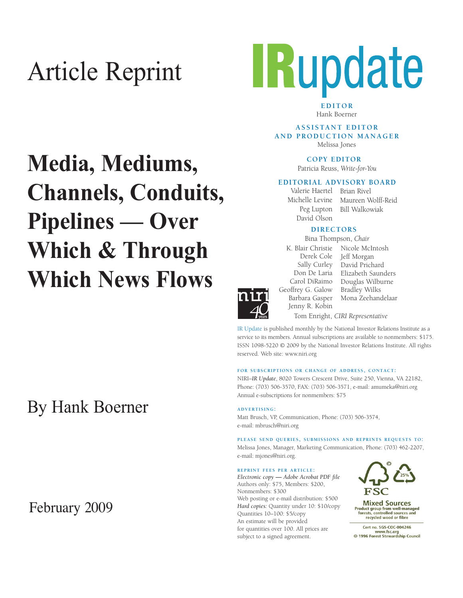# Article Reprint



**EDITOR** Hank Boerner

**A S S I S TA N T E D I T O R AND PRODUCTION MANAGER** Melissa Jones

**COPY EDITOR** 

Patricia Reuss, *Write-for-You*

#### **EDITORIAL ADVISORY BOARD**

Peg Lupton David Olson

Valerie Haertel Brian Rivel Michelle Levine Maureen Wolff-Reid Bill Walkowiak

#### **DIRECTORS**

Bina Thompson, *Chair*

K. Blair Christie Nicole McIntosh Derek Cole Jeff Morgan Sally Curley David Prichard Don De Laria Elizabeth Saunders Carol DiRaimo Geoffrey G. Galow Barbara Gasper Jenny R. Kobin Douglas Wilburne Bradley Wilks Mona Zeehandelaar Tom Enright, *CIRI Representative*

IR Update is published monthly by the National Investor Relations Institute as a service to its members. Annual subscriptions are available to nonmembers: \$175. ISSN 1098-5220 © 2009 by the National Investor Relations Institute. All rights reserved. Web site: www.niri.org

#### **FOR SUBSCRIPTIONS OR CHANGE OF ADDRESS, CONTACT:**

NIRI–*IR Update*, 8020 Towers Crescent Drive, Suite 250, Vienna, VA 22182, Phone: (703) 506-3570, FAX: (703) 506-3571, e-mail: amumeka@niri.org Annual e-subscriptions for nonmembers: \$75

**ADVERTISING:**

Matt Brusch, VP, Communication, Phone: (703) 506-3574, e-mail: mbrusch@niri.org

**PLEASE SEND QUERIES, SUBMISSIONS AND REPRINTS REQUESTS TO:** Melissa Jones, Manager, Marketing Communication, Phone: (703) 462-2207, e-mail: mjones@niri.org.

#### **REPRINT FEES PER ARTICLE:**

*Electronic copy* **—** *Adobe Acrobat PDF file*  Authors only: \$75, Members: \$200, Nonmembers: \$300 Web posting or e-mail distribution: \$500 *Hard copies:* Quantity under 10: \$10/copy Quantities 10–100: \$5/copy An estimate will be provided for quantities over 100. All prices are subject to a signed agreement.



**Mixed Sources** Product group from well-managed<br>forests, controlled sources and recycled wood or fibre

Cert no. SGS-COC-004246 www.fsc.org<br>
© 1996 Forest Stewardship Council

# **Media, Mediums, Channels, Conduits, Pipelines — Over Which & Through Which News Flows**

## By Hank Boerner

### February 2009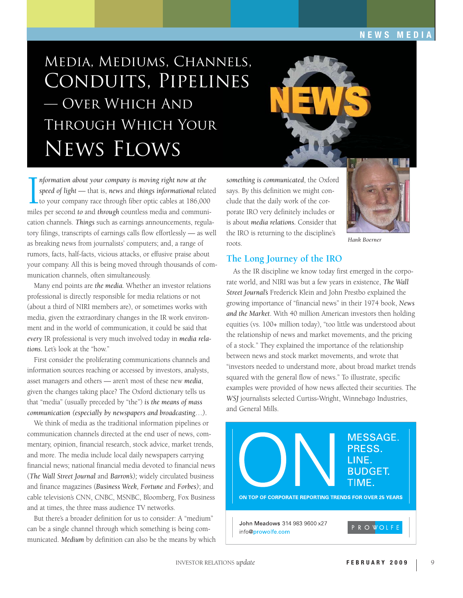## Media, Mediums, Channels, Conduits, Pipelines — Over Which And Through Which Your News Flows



 $\prod_{\text{mile}}$ *nformation about your company is moving right now at the speed of light* — that is, *news* and *things informational* related to your company race through fiber optic cables at 186,000 miles per second *to* and *through* countless media and communication channels. *Things* such as earnings announcements, regulatory filings, transcripts of earnings calls flow effortlessly — as well as breaking news from journalists' computers; and, a range of rumors, facts, half-facts, vicious attacks, or effusive praise about your company. All this is being moved through thousands of communication channels, often simultaneously.

Many end points are *the media.* Whether an investor relations professional is directly responsible for media relations or not (about a third of NIRI members are), or sometimes works with media, given the extraordinary changes in the IR work environment and in the world of communication, it could be said that *every* IR professional is very much involved today in *media relations.* Let's look at the "how."

First consider the proliferating communications channels and information sources reaching or accessed by investors, analysts, asset managers and others — aren't most of these new *media*, given the changes taking place? The Oxford dictionary tells us that "media" (usually preceded by "the") *is the means of mass communication (especially by newspapers and broadcasting*…*).*

We think of media as the traditional information pipelines or communication channels directed at the end user of news, commentary, opinion, financial research, stock advice, market trends, and more. The media include local daily newspapers carrying financial news; national financial media devoted to financial news (*The Wall Street Journal* and *Barron's);* widely circulated business and finance magazines (*Business Week, Fortune* and *Forbes)*; and cable television's CNN, CNBC, MSNBC, Bloomberg, Fox Business and at times, the three mass audience TV networks.

But there's a broader definition for us to consider: A "medium" can be a single channel through which something is being communicated. *Medium* by definition can also be the means by which

*something is communicated*, the Oxford says. By this definition we might conclude that the daily work of the corporate IRO very definitely includes or is about *media relations.* Consider that the IRO is returning to the discipline's roots.



*Hank Boerner*

#### **The Long Journey of the IRO**

As the IR discipline we know today first emerged in the corporate world, and NIRI was but a few years in existence, *The Wall Street Journal's* Frederick Klein and John Prestbo explained the growing importance of "financial news" in their 1974 book, *News and the Market*. With 40 million American investors then holding equities (vs. 100+ million today), "too little was understood about the relationship of news and market movements, and the pricing of a stock." They explained the importance of the relationship between news and stock market movements, and wrote that "investors needed to understand more, about broad market trends squared with the general flow of news." To illustrate, specific examples were provided of how news affected their securities. The *WSJ* journalists selected Curtiss-Wright, Winnebago Industries, and General Mills.

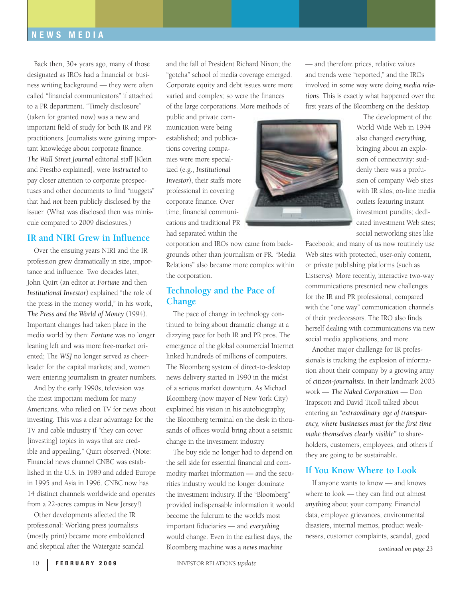Back then, 30+ years ago, many of those designated as IROs had a financial or business writing background — they were often called "financial communicators" if attached to a PR department. "Timely disclosure" (taken for granted now) was a new and important field of study for both IR and PR practitioners. Journalists were gaining important knowledge about corporate finance. *The Wall Street Journal* editorial staff [Klein and Prestbo explained], were *instructed* to pay closer attention to corporate prospectuses and other documents to find "nuggets" that had *not* been publicly disclosed by the issuer. (What was disclosed then was miniscule compared to 2009 disclosures.)

#### **IR and NIRI Grew in Influence**

Over the ensuing years NIRI and the IR profession grew dramatically in size, importance and influence. Two decades later, John Quirt (an editor at *Fortun*e and then *Institutional Investor*) explained "the role of the press in the money world," in his work, *The Press and the World of Money* (1994). Important changes had taken place in the media world by then: *Fortune* was no longer leaning left and was more free-market oriented; The *WSJ* no longer served as cheerleader for the capital markets; and, women were entering journalism in greater numbers.

And by the early 1990s, television was the most important medium for many Americans, who relied on TV for news about investing. This was a clear advantage for the TV and cable industry if "they can cover [investing] topics in ways that are credible and appealing," Quirt observed. (Note: Financial news channel CNBC was established in the U.S. in 1989 and added Europe in 1995 and Asia in 1996. CNBC now has 14 distinct channels worldwide and operates from a 22-acres campus in New Jersey!)

Other developments affected the IR professional: Working press journalists (mostly print) became more emboldened and skeptical after the Watergate scandal

and the fall of President Richard Nixon; the "gotcha" school of media coverage emerged. Corporate equity and debt issues were more varied and complex; so were the finances of the large corporations. More methods of

public and private communication were being established; and publications covering companies were more specialized (e.g., *Institutional Investor*), their staffs more professional in covering corporate finance. Over time, financial communications and traditional PR had separated within the

corporation and IROs now came from backgrounds other than journalism or PR. "Media Relations" also became more complex within the corporation.

#### **Technology and the Pace of Change**

The pace of change in technology continued to bring about dramatic change at a dizzying pace for both IR and PR pros. The emergence of the global commercial Internet linked hundreds of millions of computers. The Bloomberg system of direct-to-desktop news delivery started in 1990 in the midst of a serious market downturn. As Michael Bloomberg (now mayor of New York City) explained his vision in his autobiography, the Bloomberg terminal on the desk in thousands of offices would bring about a seismic change in the investment industry.

The buy side no longer had to depend on the sell side for essential financial and commodity market information — and the securities industry would no longer dominate the investment industry. If the "Bloomberg" provided indispensable information it would become the fulcrum to the world's most important fiduciaries — and *everything* would change. Even in the earliest days, the Bloomberg machine was a *news machine*

— and therefore prices, relative values and trends were "reported," and the IROs involved in some way were doing *media relations*. This is exactly what happened over the first years of the Bloomberg on the desktop.



The development of the World Wide Web in 1994 also changed *everything,*  bringing about an explosion of connectivity: suddenly there was a profusion of company Web sites with IR silos; on-line media outlets featuring instant investment pundits; dedicated investment Web sites; social networking sites like

Facebook; and many of us now routinely use Web sites with protected, user-only content, or private publishing platforms (such as Listservs). More recently, interactive two-way communications presented new challenges for the IR and PR professional, compared with the "one way" communication channels of their predecessors. The IRO also finds herself dealing with communications via new social media applications, and more.

Another major challenge for IR professionals is tracking the explosion of information about their company by a growing army of *citizen-journalists*. In their landmark 2003 work — *The Naked Corporation* — Don Trapscott and David Ticoll talked about entering an "*extraordinary age of transparency, where businesses must for the first time make themselves clearly visible"* to shareholders, customers, employees, and others if they are going to be sustainable*.*

#### **If You Know Where to Look**

If anyone wants to know — and knows where to look — they can find out almost *anything* about your company. Financial data, employee grievances, environmental disasters, internal memos, product weaknesses, customer complaints, scandal, good